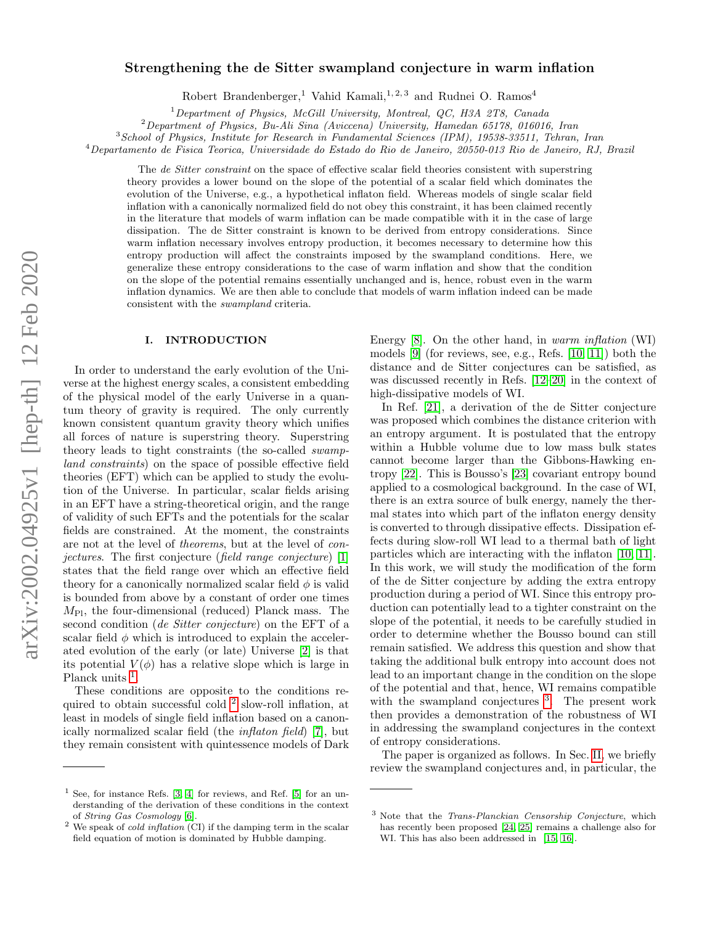# Strengthening the de Sitter swampland conjecture in warm inflation

Robert Brandenberger,<sup>1</sup> Vahid Kamali,<sup>1,2,3</sup> and Rudnei O. Ramos<sup>4</sup>

 $1$ Department of Physics, McGill University, Montreal, QC, H3A 2T8, Canada

<sup>2</sup>Department of Physics, Bu-Ali Sina (Aviccena) University, Hamedan 65178, 016016, Iran

<sup>3</sup>School of Physics, Institute for Research in Fundamental Sciences (IPM), 19538-33511, Tehran, Iran

<sup>4</sup>Departamento de Fisica Teorica, Universidade do Estado do Rio de Janeiro, 20550-013 Rio de Janeiro, RJ, Brazil

The de Sitter constraint on the space of effective scalar field theories consistent with superstring theory provides a lower bound on the slope of the potential of a scalar field which dominates the evolution of the Universe, e.g., a hypothetical inflaton field. Whereas models of single scalar field inflation with a canonically normalized field do not obey this constraint, it has been claimed recently in the literature that models of warm inflation can be made compatible with it in the case of large dissipation. The de Sitter constraint is known to be derived from entropy considerations. Since warm inflation necessary involves entropy production, it becomes necessary to determine how this entropy production will affect the constraints imposed by the swampland conditions. Here, we generalize these entropy considerations to the case of warm inflation and show that the condition on the slope of the potential remains essentially unchanged and is, hence, robust even in the warm inflation dynamics. We are then able to conclude that models of warm inflation indeed can be made consistent with the swampland criteria.

# I. INTRODUCTION

In order to understand the early evolution of the Universe at the highest energy scales, a consistent embedding of the physical model of the early Universe in a quantum theory of gravity is required. The only currently known consistent quantum gravity theory which unifies all forces of nature is superstring theory. Superstring theory leads to tight constraints (the so-called swampland constraints) on the space of possible effective field theories (EFT) which can be applied to study the evolution of the Universe. In particular, scalar fields arising in an EFT have a string-theoretical origin, and the range of validity of such EFTs and the potentials for the scalar fields are constrained. At the moment, the constraints are not at the level of theorems, but at the level of conjectures. The first conjecture (field range conjecture) [\[1\]](#page-5-0) states that the field range over which an effective field theory for a canonically normalized scalar field  $\phi$  is valid is bounded from above by a constant of order one times  $M_{\text{Pl}}$ , the four-dimensional (reduced) Planck mass. The second condition (de Sitter conjecture) on the EFT of a scalar field  $\phi$  which is introduced to explain the accelerated evolution of the early (or late) Universe [\[2\]](#page-5-1) is that its potential  $V(\phi)$  has a relative slope which is large in Planck units <sup>[1](#page-0-0)</sup>.

These conditions are opposite to the conditions required to obtain successful cold [2](#page-0-1) slow-roll inflation, at least in models of single field inflation based on a canonically normalized scalar field (the inflaton field) [\[7\]](#page-5-2), but they remain consistent with quintessence models of Dark Energy [\[8\]](#page-5-7). On the other hand, in warm inflation (WI) models [\[9\]](#page-5-8) (for reviews, see, e.g., Refs. [\[10,](#page-5-9) [11\]](#page-5-10)) both the distance and de Sitter conjectures can be satisfied, as was discussed recently in Refs. [\[12–](#page-5-11)[20\]](#page-5-12) in the context of high-dissipative models of WI.

In Ref. [\[21\]](#page-5-13), a derivation of the de Sitter conjecture was proposed which combines the distance criterion with an entropy argument. It is postulated that the entropy within a Hubble volume due to low mass bulk states cannot become larger than the Gibbons-Hawking entropy [\[22\]](#page-5-14). This is Bousso's [\[23\]](#page-5-15) covariant entropy bound applied to a cosmological background. In the case of WI, there is an extra source of bulk energy, namely the thermal states into which part of the inflaton energy density is converted to through dissipative effects. Dissipation effects during slow-roll WI lead to a thermal bath of light particles which are interacting with the inflaton [\[10,](#page-5-9) [11\]](#page-5-10). In this work, we will study the modification of the form of the de Sitter conjecture by adding the extra entropy production during a period of WI. Since this entropy production can potentially lead to a tighter constraint on the slope of the potential, it needs to be carefully studied in order to determine whether the Bousso bound can still remain satisfied. We address this question and show that taking the additional bulk entropy into account does not lead to an important change in the condition on the slope of the potential and that, hence, WI remains compatible with the swampland conjectures <sup>[3](#page-0-2)</sup>. The present work then provides a demonstration of the robustness of WI in addressing the swampland conjectures in the context of entropy considerations.

The paper is organized as follows. In Sec. [II,](#page-1-0) we briefly review the swampland conjectures and, in particular, the

<span id="page-0-0"></span> $1$  See, for instance Refs. [\[3,](#page-5-3) [4\]](#page-5-4) for reviews, and Ref. [\[5\]](#page-5-5) for an understanding of the derivation of these conditions in the context of String Gas Cosmology [\[6\]](#page-5-6).

<span id="page-0-1"></span> $2$  We speak of *cold inflation* (CI) if the damping term in the scalar field equation of motion is dominated by Hubble damping.

<span id="page-0-2"></span><sup>3</sup> Note that the Trans-Planckian Censorship Conjecture, which has recently been proposed [\[24,](#page-5-16) [25\]](#page-6-0) remains a challenge also for WI. This has also been addressed in [\[15,](#page-5-17) [16\]](#page-5-18).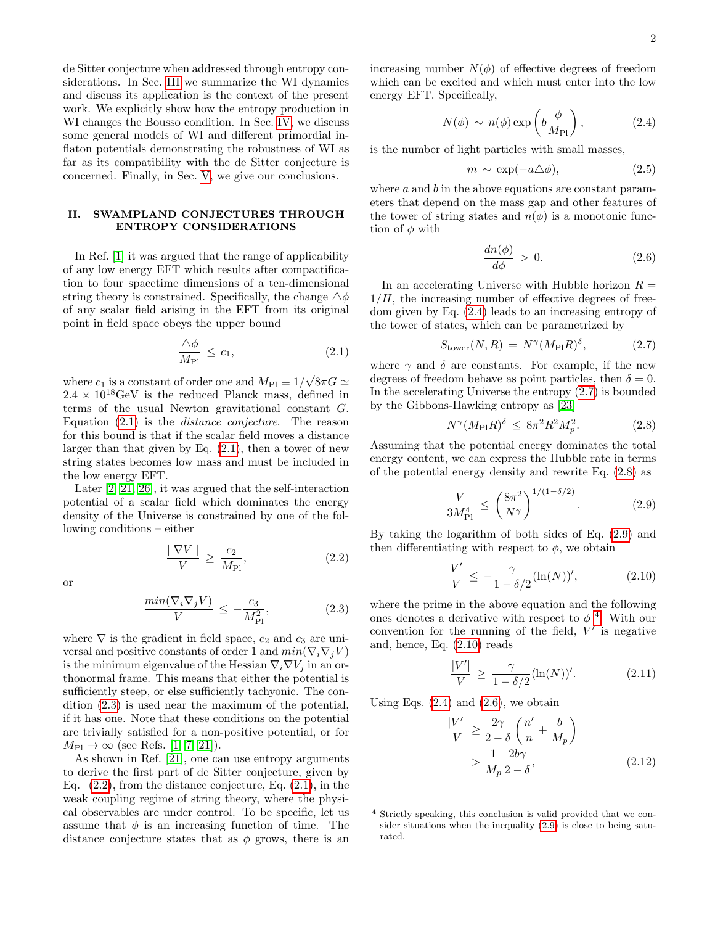de Sitter conjecture when addressed through entropy considerations. In Sec. [III](#page-2-0) we summarize the WI dynamics and discuss its application is the context of the present work. We explicitly show how the entropy production in WI changes the Bousso condition. In Sec. [IV,](#page-3-0) we discuss some general models of WI and different primordial inflaton potentials demonstrating the robustness of WI as far as its compatibility with the de Sitter conjecture is concerned. Finally, in Sec. [V,](#page-4-0) we give our conclusions.

## <span id="page-1-0"></span>II. SWAMPLAND CONJECTURES THROUGH ENTROPY CONSIDERATIONS

In Ref. [\[1\]](#page-5-0) it was argued that the range of applicability of any low energy EFT which results after compactification to four spacetime dimensions of a ten-dimensional string theory is constrained. Specifically, the change  $\Delta \phi$ of any scalar field arising in the EFT from its original point in field space obeys the upper bound

<span id="page-1-1"></span>
$$
\frac{\triangle \phi}{M_{\rm Pl}} \le c_1,\tag{2.1}
$$

where  $c_1$  is a constant of order one and  $M_{\text{Pl}} \equiv 1/$ √  $8\pi G\simeq$  $2.4 \times 10^{18}$ GeV is the reduced Planck mass, defined in terms of the usual Newton gravitational constant G. Equation [\(2.1\)](#page-1-1) is the distance conjecture. The reason for this bound is that if the scalar field moves a distance larger than that given by Eq.  $(2.1)$ , then a tower of new string states becomes low mass and must be included in the low energy EFT.

Later [\[2,](#page-5-1) [21,](#page-5-13) [26\]](#page-6-1), it was argued that the self-interaction potential of a scalar field which dominates the energy density of the Universe is constrained by one of the following conditions – either

<span id="page-1-3"></span> $|\nabla V|$ 

or

$$
\frac{|V|}{|V|} \ge \frac{c_2}{M_{\text{Pl}}},\tag{2.2}
$$

 $c<sub>2</sub>$ 

<span id="page-1-2"></span>
$$
\frac{\min(\nabla_i \nabla_j V)}{V} \le -\frac{c_3}{M_{\rm Pl}^2},\tag{2.3}
$$

where  $\nabla$  is the gradient in field space,  $c_2$  and  $c_3$  are universal and positive constants of order 1 and  $min(\nabla_i \nabla_j V)$ is the minimum eigenvalue of the Hessian  $\nabla_i \nabla V_j$  in an orthonormal frame. This means that either the potential is sufficiently steep, or else sufficiently tachyonic. The condition [\(2.3\)](#page-1-2) is used near the maximum of the potential, if it has one. Note that these conditions on the potential are trivially satisfied for a non-positive potential, or for  $M_{\rm Pl} \rightarrow \infty$  (see Refs. [\[1,](#page-5-0) [7,](#page-5-2) [21\]](#page-5-13)).

As shown in Ref. [\[21\]](#page-5-13), one can use entropy arguments to derive the first part of de Sitter conjecture, given by Eq.  $(2.2)$ , from the distance conjecture, Eq.  $(2.1)$ , in the weak coupling regime of string theory, where the physical observables are under control. To be specific, let us assume that  $\phi$  is an increasing function of time. The distance conjecture states that as  $\phi$  grows, there is an

increasing number  $N(\phi)$  of effective degrees of freedom which can be excited and which must enter into the low energy EFT. Specifically,

<span id="page-1-4"></span>
$$
N(\phi) \sim n(\phi) \exp\left(b \frac{\phi}{M_{\text{Pl}}}\right),\tag{2.4}
$$

is the number of light particles with small masses,

$$
m \sim \exp(-a\Delta\phi), \tag{2.5}
$$

where  $a$  and  $b$  in the above equations are constant parameters that depend on the mass gap and other features of the tower of string states and  $n(\phi)$  is a monotonic function of  $\phi$  with

<span id="page-1-10"></span>
$$
\frac{dn(\phi)}{d\phi} > 0. \tag{2.6}
$$

In an accelerating Universe with Hubble horizon  $R =$  $1/H$ , the increasing number of effective degrees of freedom given by Eq. [\(2.4\)](#page-1-4) leads to an increasing entropy of the tower of states, which can be parametrized by

<span id="page-1-5"></span>
$$
S_{\text{tower}}(N,R) = N^{\gamma} (M_{\text{Pl}} R)^{\delta}, \tag{2.7}
$$

where  $\gamma$  and  $\delta$  are constants. For example, if the new degrees of freedom behave as point particles, then  $\delta = 0$ . In the accelerating Universe the entropy [\(2.7\)](#page-1-5) is bounded by the Gibbons-Hawking entropy as [\[23\]](#page-5-15)

<span id="page-1-6"></span>
$$
N^{\gamma} (M_{\rm Pl} R)^{\delta} \le 8\pi^2 R^2 M_p^2. \tag{2.8}
$$

Assuming that the potential energy dominates the total energy content, we can express the Hubble rate in terms of the potential energy density and rewrite Eq. [\(2.8\)](#page-1-6) as

<span id="page-1-7"></span>
$$
\frac{V}{3M_{\rm Pl}^4} \le \left(\frac{8\pi^2}{N^{\gamma}}\right)^{1/(1-\delta/2)}.\tag{2.9}
$$

By taking the logarithm of both sides of Eq. [\(2.9\)](#page-1-7) and then differentiating with respect to  $\phi$ , we obtain

<span id="page-1-9"></span>
$$
\frac{V'}{V} \le -\frac{\gamma}{1 - \delta/2} (\ln(N))',\tag{2.10}
$$

where the prime in the above equation and the following ones denotes a derivative with respect to  $\phi$ <sup>[4](#page-1-8)</sup>. With our convention for the running of the field,  $V'$  is negative and, hence, Eq. [\(2.10\)](#page-1-9) reads

$$
\frac{|V'|}{V} \ge \frac{\gamma}{1 - \delta/2} (\ln(N))'. \tag{2.11}
$$

Using Eqs.  $(2.4)$  and  $(2.6)$ , we obtain

<span id="page-1-11"></span>
$$
\frac{|V'|}{V} \ge \frac{2\gamma}{2 - \delta} \left( \frac{n'}{n} + \frac{b}{M_p} \right)
$$

$$
> \frac{1}{M_p} \frac{2b\gamma}{2 - \delta},\tag{2.12}
$$

<span id="page-1-8"></span><sup>4</sup> Strictly speaking, this conclusion is valid provided that we consider situations when the inequality [\(2.9\)](#page-1-7) is close to being saturated.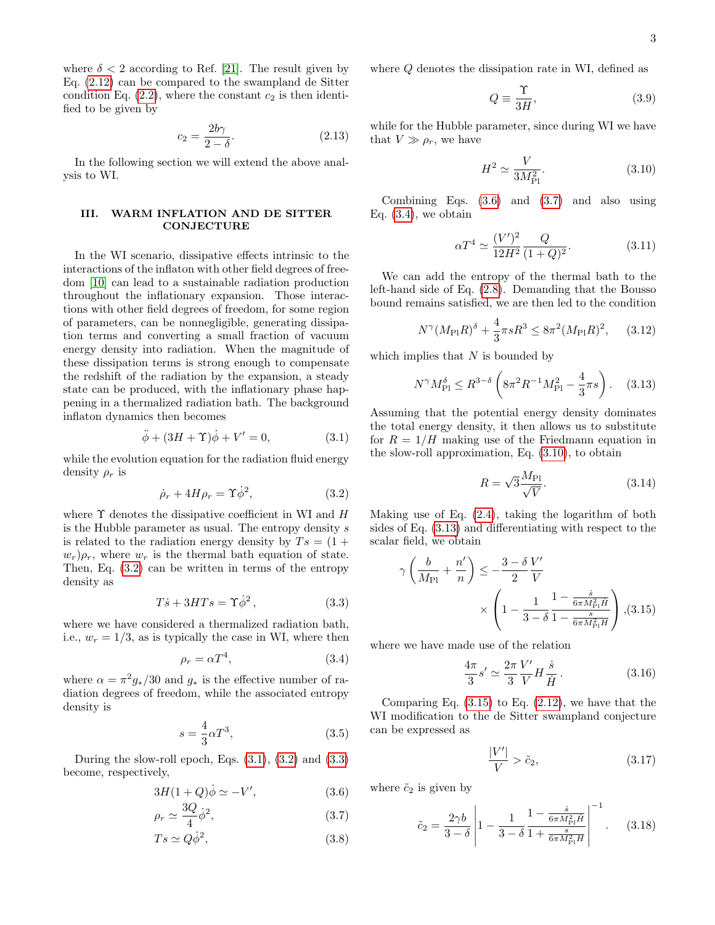where  $\delta < 2$  according to Ref. [\[21\]](#page-5-13). The result given by Eq. [\(2.12\)](#page-1-11) can be compared to the swampland de Sitter condition Eq.  $(2.2)$ , where the constant  $c_2$  is then identified to be given by

$$
c_2 = \frac{2b\gamma}{2 - \delta}.\tag{2.13}
$$

In the following section we will extend the above analysis to WI.

## <span id="page-2-0"></span>III. WARM INFLATION AND DE SITTER **CONJECTURE**

In the WI scenario, dissipative effects intrinsic to the interactions of the inflaton with other field degrees of freedom [\[10\]](#page-5-9) can lead to a sustainable radiation production throughout the inflationary expansion. Those interactions with other field degrees of freedom, for some region of parameters, can be nonnegligible, generating dissipation terms and converting a small fraction of vacuum energy density into radiation. When the magnitude of these dissipation terms is strong enough to compensate the redshift of the radiation by the expansion, a steady state can be produced, with the inflationary phase happening in a thermalized radiation bath. The background inflaton dynamics then becomes

<span id="page-2-2"></span>
$$
\ddot{\phi} + (3H + \Upsilon)\dot{\phi} + V' = 0,\tag{3.1}
$$

while the evolution equation for the radiation fluid energy density  $\rho_r$  is

<span id="page-2-1"></span>
$$
\dot{\rho}_r + 4H\rho_r = \Upsilon \dot{\phi}^2,\tag{3.2}
$$

where  $\Upsilon$  denotes the dissipative coefficient in WI and H is the Hubble parameter as usual. The entropy density s is related to the radiation energy density by  $Ts = (1 +$  $(w_r)\rho_r$ , where  $w_r$  is the thermal bath equation of state. Then, Eq. [\(3.2\)](#page-2-1) can be written in terms of the entropy density as

<span id="page-2-3"></span>
$$
T\dot{s} + 3HTs = \Upsilon \dot{\phi}^2, \qquad (3.3)
$$

where we have considered a thermalized radiation bath, i.e.,  $w_r = 1/3$ , as is typically the case in WI, where then

<span id="page-2-5"></span>
$$
\rho_r = \alpha T^4,\tag{3.4}
$$

where  $\alpha = \pi^2 g_*/30$  and  $g_*$  is the effective number of radiation degrees of freedom, while the associated entropy density is

$$
s = \frac{4}{3}\alpha T^3,\tag{3.5}
$$

During the slow-roll epoch, Eqs.  $(3.1)$ ,  $(3.2)$  and  $(3.3)$ become, respectively,

<span id="page-2-4"></span>
$$
3H(1+Q)\dot{\phi} \simeq -V',\tag{3.6}
$$

$$
\rho_r \simeq \frac{3Q}{4} \dot{\phi}^2,\tag{3.7}
$$

$$
Ts \simeq Q\dot{\phi}^2,\tag{3.8}
$$

where Q denotes the dissipation rate in WI, defined as

$$
Q \equiv \frac{\Upsilon}{3H},\tag{3.9}
$$

while for the Hubble parameter, since during WI we have that  $V \gg \rho_r$ , we have

<span id="page-2-6"></span>
$$
H^2 \simeq \frac{V}{3M_{\rm Pl}^2}.\tag{3.10}
$$

Combining Eqs. [\(3.6\)](#page-2-4) and [\(3.7\)](#page-2-4) and also using Eq.  $(3.4)$ , we obtain

<span id="page-2-10"></span>
$$
\alpha T^4 \simeq \frac{(V')^2}{12H^2} \frac{Q}{(1+Q)^2}.
$$
\n(3.11)

We can add the entropy of the thermal bath to the left-hand side of Eq. [\(2.8\)](#page-1-6). Demanding that the Bousso bound remains satisfied, we are then led to the condition

$$
N^{\gamma} (M_{\rm Pl} R)^{\delta} + \frac{4}{3} \pi s R^3 \leq 8 \pi^2 (M_{\rm Pl} R)^2, \quad (3.12)
$$

which implies that  $N$  is bounded by

<span id="page-2-7"></span>
$$
N^{\gamma} M_{\rm Pl}^{\delta} \le R^{3-\delta} \left( 8\pi^2 R^{-1} M_{\rm Pl}^2 - \frac{4}{3} \pi s \right). \quad (3.13)
$$

Assuming that the potential energy density dominates the total energy density, it then allows us to substitute for  $R = 1/H$  making use of the Friedmann equation in the slow-roll approximation, Eq. [\(3.10\)](#page-2-6), to obtain

$$
R = \sqrt{3} \frac{M_{\rm Pl}}{\sqrt{V}}.\tag{3.14}
$$

Making use of Eq. [\(2.4\)](#page-1-4), taking the logarithm of both sides of Eq. [\(3.13\)](#page-2-7) and differentiating with respect to the scalar field, we obtain

<span id="page-2-8"></span>
$$
\gamma \left( \frac{b}{M_{\text{Pl}}} + \frac{n'}{n} \right) \le -\frac{3 - \delta V'}{2 V} \times \left( 1 - \frac{1}{3 - \delta} \frac{1 - \frac{\dot{s}}{6 \pi M_{\text{Pl}}^2 \dot{H}}}{1 - \frac{s}{6 \pi M_{\text{Pl}}^2 H}} \right), (3.15)
$$

where we have made use of the relation

$$
\frac{4\pi}{3}s' \simeq \frac{2\pi}{3} \frac{V'}{V} H \frac{\dot{s}}{\dot{H}}.
$$
\n(3.16)

Comparing Eq.  $(3.15)$  to Eq.  $(2.12)$ , we have that the WI modification to the de Sitter swampland conjecture can be expressed as

$$
\frac{|V'|}{V} > \tilde{c}_2,\tag{3.17}
$$

where  $\tilde{c}_2$  is given by

<span id="page-2-9"></span>
$$
\tilde{c}_2 = \frac{2\gamma b}{3 - \delta} \left| 1 - \frac{1}{3 - \delta} \frac{1 - \frac{s}{6\pi M_{\rm Pl}^2 \dot{H}}}{1 + \frac{s}{6\pi M_{\rm Pl}^2 H}} \right|^{-1}.
$$
 (3.18)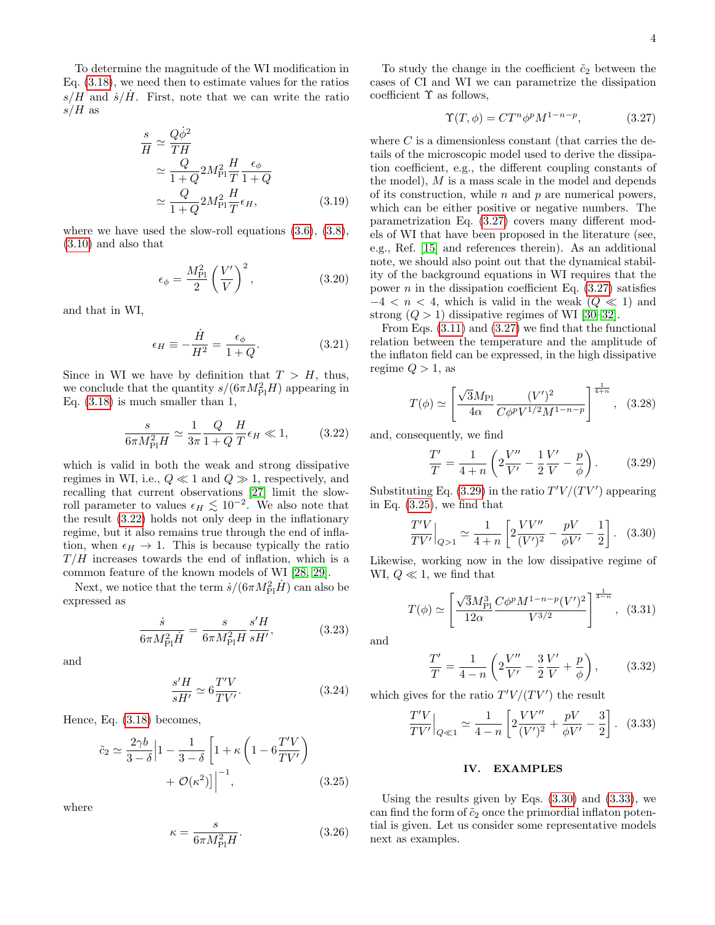To determine the magnitude of the WI modification in Eq. [\(3.18\)](#page-2-9), we need then to estimate values for the ratios  $s/H$  and  $\dot{s}/\dot{H}$ . First, note that we can write the ratio  $s/H$  as

$$
\frac{s}{H} \simeq \frac{Q\dot{\phi}^2}{TH} \simeq \frac{Q}{1+Q} 2M_{\rm Pl}^2 \frac{H}{T} \frac{\epsilon_{\phi}}{1+Q} \simeq \frac{Q}{1+Q} 2M_{\rm Pl}^2 \frac{H}{T} \epsilon_H,
$$
\n(3.19)

where we have used the slow-roll equations  $(3.6)$ ,  $(3.8)$ , [\(3.10\)](#page-2-6) and also that

$$
\epsilon_{\phi} = \frac{M_{\rm Pl}^2}{2} \left(\frac{V'}{V}\right)^2, \tag{3.20}
$$

and that in WI,

$$
\epsilon_H \equiv -\frac{\dot{H}}{H^2} = \frac{\epsilon_{\phi}}{1+Q}.\tag{3.21}
$$

Since in WI we have by definition that  $T > H$ , thus, we conclude that the quantity  $s/(6\pi M_{\rm Pl}^2 H)$  appearing in Eq.  $(3.18)$  is much smaller than 1,

<span id="page-3-1"></span>
$$
\frac{s}{6\pi M_{\rm Pl}^2 H} \simeq \frac{1}{3\pi} \frac{Q}{1+Q} \frac{H}{T} \epsilon_H \ll 1,
$$
 (3.22)

which is valid in both the weak and strong dissipative regimes in WI, i.e.,  $Q \ll 1$  and  $Q \gg 1$ , respectively, and recalling that current observations [\[27\]](#page-6-2) limit the slowroll parameter to values  $\epsilon_H \lesssim 10^{-2}$ . We also note that the result [\(3.22\)](#page-3-1) holds not only deep in the inflationary regime, but it also remains true through the end of inflation, when  $\epsilon_H \rightarrow 1$ . This is because typically the ratio  $T/H$  increases towards the end of inflation, which is a common feature of the known models of WI [\[28,](#page-6-3) [29\]](#page-6-4).

Next, we notice that the term  $\dot{s}/(6\pi M_{\rm Pl}^2 \dot{H})$  can also be expressed as

$$
\frac{\dot{s}}{6\pi M_{\rm Pl}^2 \dot{H}} = \frac{s}{6\pi M_{\rm Pl}^2 H} \frac{s'H}{sH'},\tag{3.23}
$$

and

$$
\frac{s'H}{sH'} \simeq 6\frac{T'V}{TV'}.\tag{3.24}
$$

Hence, Eq. [\(3.18\)](#page-2-9) becomes,

<span id="page-3-4"></span>
$$
\tilde{c}_2 \simeq \frac{2\gamma b}{3-\delta} \left| 1 - \frac{1}{3-\delta} \left[ 1 + \kappa \left( 1 - 6 \frac{T'V}{TV'} \right) + \mathcal{O}(\kappa^2) \right] \right|^{-1},\tag{3.25}
$$

where

$$
\kappa = \frac{s}{6\pi M_{\rm Pl}^2 H}.\tag{3.26}
$$

To study the change in the coefficient  $\tilde{c}_2$  between the cases of CI and WI we can parametrize the dissipation coefficient  $\Upsilon$  as follows,

<span id="page-3-2"></span>
$$
\Upsilon(T,\phi) = CT^n \phi^p M^{1-n-p},\tag{3.27}
$$

where  $C$  is a dimensionless constant (that carries the details of the microscopic model used to derive the dissipation coefficient, e.g., the different coupling constants of the model), M is a mass scale in the model and depends of its construction, while  $n$  and  $p$  are numerical powers, which can be either positive or negative numbers. The parametrization Eq. [\(3.27\)](#page-3-2) covers many different models of WI that have been proposed in the literature (see, e.g., Ref. [\[15\]](#page-5-17) and references therein). As an additional note, we should also point out that the dynamical stability of the background equations in WI requires that the power *n* in the dissipation coefficient Eq.  $(3.27)$  satisfies  $-4 < n < 4$ , which is valid in the weak  $(Q \ll 1)$  and strong  $(Q > 1)$  dissipative regimes of WI [\[30–](#page-6-5)[32\]](#page-6-6).

From Eqs. [\(3.11\)](#page-2-10) and [\(3.27\)](#page-3-2) we find that the functional relation between the temperature and the amplitude of the inflaton field can be expressed, in the high dissipative regime  $Q > 1$ , as

$$
T(\phi) \simeq \left[\frac{\sqrt{3}M_{\rm Pl}}{4\alpha} \frac{(V')^2}{C\phi^p V^{1/2}M^{1-n-p}}\right]^{\frac{1}{4+n}}, \quad (3.28)
$$

and, consequently, we find

<span id="page-3-3"></span>
$$
\frac{T'}{T} = \frac{1}{4+n} \left( 2\frac{V''}{V'} - \frac{1}{2}\frac{V'}{V} - \frac{p}{\phi} \right).
$$
 (3.29)

Substituting Eq.  $(3.29)$  in the ratio  $T'V/(TV')$  appearing in Eq. [\(3.25\)](#page-3-4), we find that

<span id="page-3-5"></span>
$$
\left. \frac{T'V}{TV'} \right|_{Q>1} \simeq \frac{1}{4+n} \left[ 2\frac{VV''}{(V')^2} - \frac{pV}{\phi V'} - \frac{1}{2} \right]. \tag{3.30}
$$

Likewise, working now in the low dissipative regime of WI,  $Q \ll 1$ , we find that

$$
T(\phi) \simeq \left[ \frac{\sqrt{3}M_{\rm Pl}^3}{12\alpha} \frac{C\phi^p M^{1-n-p}(V')^2}{V^{3/2}} \right]^{\frac{1}{4-n}}, \quad (3.31)
$$

and

$$
\frac{T'}{T} = \frac{1}{4-n} \left( 2\frac{V''}{V'} - \frac{3}{2}\frac{V'}{V} + \frac{p}{\phi} \right), \quad (3.32)
$$

which gives for the ratio  $T'V/(TV')$  the result

<span id="page-3-6"></span>
$$
\left. \frac{T'V}{TV'} \right|_{Q \ll 1} \simeq \frac{1}{4-n} \left[ 2\frac{VV''}{(V')^2} + \frac{pV}{\phi V'} - \frac{3}{2} \right]. \tag{3.33}
$$

## <span id="page-3-0"></span>IV. EXAMPLES

Using the results given by Eqs.  $(3.30)$  and  $(3.33)$ , we can find the form of  $\tilde{c}_2$  once the primordial inflaton potential is given. Let us consider some representative models next as examples.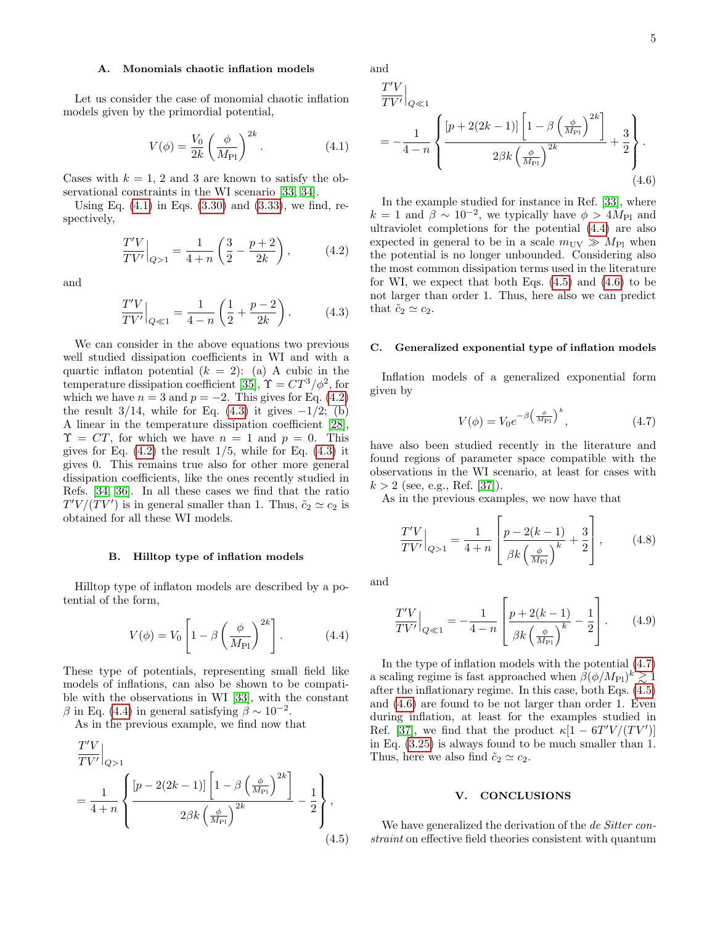## A. Monomials chaotic inflation models

Let us consider the case of monomial chaotic inflation models given by the primordial potential,

<span id="page-4-1"></span>
$$
V(\phi) = \frac{V_0}{2k} \left(\frac{\phi}{M_{\rm Pl}}\right)^{2k}.\tag{4.1}
$$

Cases with  $k = 1, 2$  and 3 are known to satisfy the observational constraints in the WI scenario [\[33,](#page-6-7) [34\]](#page-6-8).

Using Eq.  $(4.1)$  in Eqs.  $(3.30)$  and  $(3.33)$ , we find, respectively,

<span id="page-4-2"></span>
$$
\left. \frac{T'V}{TV'} \right|_{Q>1} = \frac{1}{4+n} \left( \frac{3}{2} - \frac{p+2}{2k} \right),\tag{4.2}
$$

and

<span id="page-4-3"></span>
$$
\left. \frac{T'V}{TV'} \right|_{Q \ll 1} = \frac{1}{4 - n} \left( \frac{1}{2} + \frac{p - 2}{2k} \right). \tag{4.3}
$$

We can consider in the above equations two previous well studied dissipation coefficients in WI and with a quartic inflaton potential  $(k = 2)$ : (a) A cubic in the temperature dissipation coefficient [\[35\]](#page-6-9),  $\Upsilon = CT^3/\phi^2$ , for which we have  $n = 3$  and  $p = -2$ . This gives for Eq. [\(4.2\)](#page-4-2) the result 3/14, while for Eq.  $(4.3)$  it gives  $-1/2$ ; (b) A linear in the temperature dissipation coefficient [\[28\]](#page-6-3),  $\Upsilon = CT$ , for which we have  $n = 1$  and  $p = 0$ . This gives for Eq.  $(4.2)$  the result  $1/5$ , while for Eq.  $(4.3)$  it gives 0. This remains true also for other more general dissipation coefficients, like the ones recently studied in Refs. [\[34,](#page-6-8) [36\]](#page-6-10). In all these cases we find that the ratio  $T'V/(TV')$  is in general smaller than 1. Thus,  $\tilde{c}_2 \simeq c_2$  is obtained for all these WI models.

#### B. Hilltop type of inflation models

Hilltop type of inflaton models are described by a potential of the form,

<span id="page-4-4"></span>
$$
V(\phi) = V_0 \left[ 1 - \beta \left( \frac{\phi}{M_{\text{Pl}}} \right)^{2k} \right]. \tag{4.4}
$$

These type of potentials, representing small field like models of inflations, can also be shown to be compatible with the observations in WI [\[33\]](#page-6-7), with the constant β in Eq. [\(4.4\)](#page-4-4) in general satisfying  $\beta \sim 10^{-2}$ .

As in the previous example, we find now that

<span id="page-4-5"></span>
$$
\frac{T'V}{TV'}\Big|_{Q>1}
$$
\n
$$
= \frac{1}{4+n} \left\{ \frac{\left[p - 2(2k-1)\right] \left[1 - \beta \left(\frac{\phi}{M_{\text{Pl}}}\right)^{2k}\right]}{2\beta k \left(\frac{\phi}{M_{\text{Pl}}}\right)^{2k}} - \frac{1}{2} \right\},\tag{4.5}
$$

and

<span id="page-4-6"></span>
$$
\frac{T'V}{TV'}\Big|_{Q\ll 1}
$$
\n
$$
= -\frac{1}{4-n} \left\{ \frac{\left[p + 2(2k-1)\right] \left[1 - \beta \left(\frac{\phi}{M_{\text{Pl}}}\right)^{2k}\right]}{2\beta k \left(\frac{\phi}{M_{\text{Pl}}}\right)^{2k}} + \frac{3}{2} \right\}.
$$
\n(4.6)

In the example studied for instance in Ref. [\[33\]](#page-6-7), where  $k = 1$  and  $\beta \sim 10^{-2}$ , we typically have  $\phi > 4M_{\text{Pl}}$  and ultraviolet completions for the potential [\(4.4\)](#page-4-4) are also expected in general to be in a scale  $m_{\text{UV}} \gg M_{\text{Pl}}$  when the potential is no longer unbounded. Considering also the most common dissipation terms used in the literature for WI, we expect that both Eqs.  $(4.5)$  and  $(4.6)$  to be not larger than order 1. Thus, here also we can predict that  $\tilde{c}_2 \simeq c_2$ .

### C. Generalized exponential type of inflation models

Inflation models of a generalized exponential form given by

<span id="page-4-7"></span>
$$
V(\phi) = V_0 e^{-\beta \left(\frac{\phi}{M_{\text{Pl}}}\right)^k},\tag{4.7}
$$

have also been studied recently in the literature and found regions of parameter space compatible with the observations in the WI scenario, at least for cases with  $k > 2$  (see, e.g., Ref. [\[37\]](#page-6-11)).

As in the previous examples, we now have that

$$
\left. \frac{T'V}{TV'} \right|_{Q>1} = \frac{1}{4+n} \left[ \frac{p - 2(k-1)}{\beta k \left( \frac{\phi}{M_{\text{Pl}}} \right)^k} + \frac{3}{2} \right],\tag{4.8}
$$

and

$$
\left. \frac{T'V}{TV'} \right|_{Q \ll 1} = -\frac{1}{4-n} \left[ \frac{p + 2(k-1)}{\beta k \left( \frac{\phi}{M_{\text{Pl}}} \right)^k} - \frac{1}{2} \right]. \tag{4.9}
$$

In the type of inflation models with the potential [\(4.7\)](#page-4-7) a scaling regime is fast approached when  $\hat{\beta}(\phi/M_{\text{Pl}})^k \gtrsim 1$ after the inflationary regime. In this case, both Eqs. [\(4.5\)](#page-4-5) and [\(4.6\)](#page-4-6) are found to be not larger than order 1. Even during inflation, at least for the examples studied in Ref. [\[37\]](#page-6-11), we find that the product  $\kappa[1 - 6T'V/(TV')]$ in Eq. [\(3.25\)](#page-3-4) is always found to be much smaller than 1. Thus, here we also find  $\tilde{c}_2 \simeq c_2$ .

### <span id="page-4-0"></span>V. CONCLUSIONS

We have generalized the derivation of the *de Sitter con*straint on effective field theories consistent with quantum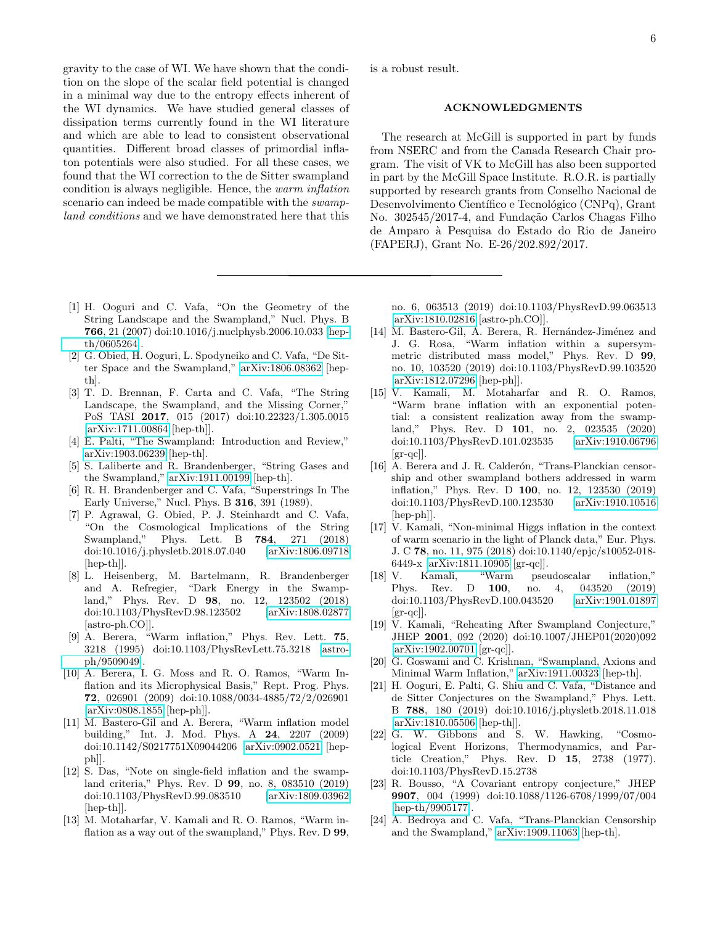gravity to the case of WI. We have shown that the condition on the slope of the scalar field potential is changed in a minimal way due to the entropy effects inherent of the WI dynamics. We have studied general classes of dissipation terms currently found in the WI literature and which are able to lead to consistent observational quantities. Different broad classes of primordial inflaton potentials were also studied. For all these cases, we found that the WI correction to the de Sitter swampland condition is always negligible. Hence, the warm inflation scenario can indeed be made compatible with the swampland conditions and we have demonstrated here that this

- <span id="page-5-0"></span>[1] H. Ooguri and C. Vafa, "On the Geometry of the String Landscape and the Swampland," Nucl. Phys. B 766, 21 (2007) doi:10.1016/j.nuclphysb.2006.10.033 [\[hep](http://arxiv.org/abs/hep-th/0605264)[th/0605264\]](http://arxiv.org/abs/hep-th/0605264).
- <span id="page-5-1"></span>[2] G. Obied, H. Ooguri, L. Spodyneiko and C. Vafa, "De Sitter Space and the Swampland," [arXiv:1806.08362](http://arxiv.org/abs/1806.08362) [hepth].
- <span id="page-5-3"></span>[3] T. D. Brennan, F. Carta and C. Vafa, "The String Landscape, the Swampland, and the Missing Corner," PoS TASI 2017, 015 (2017) doi:10.22323/1.305.0015 [\[arXiv:1711.00864](http://arxiv.org/abs/1711.00864) [hep-th]].
- <span id="page-5-4"></span>[4] E. Palti, "The Swampland: Introduction and Review," [arXiv:1903.06239](http://arxiv.org/abs/1903.06239) [hep-th].
- <span id="page-5-5"></span>[5] S. Laliberte and R. Brandenberger, "String Gases and the Swampland," [arXiv:1911.00199](http://arxiv.org/abs/1911.00199) [hep-th].
- <span id="page-5-6"></span>[6] R. H. Brandenberger and C. Vafa, "Superstrings In The Early Universe," Nucl. Phys. B 316, 391 (1989).
- <span id="page-5-2"></span>[7] P. Agrawal, G. Obied, P. J. Steinhardt and C. Vafa, "On the Cosmological Implications of the String Swampland," Phys. Lett. B 784, 271 (2018) doi:10.1016/j.physletb.2018.07.040 [\[arXiv:1806.09718](http://arxiv.org/abs/1806.09718) [hep-th]].
- <span id="page-5-7"></span>[8] L. Heisenberg, M. Bartelmann, R. Brandenberger and A. Refregier, "Dark Energy in the Swampland," Phys. Rev. D 98, no. 12, 123502 (2018) doi:10.1103/PhysRevD.98.123502 [\[arXiv:1808.02877](http://arxiv.org/abs/1808.02877) [astro-ph.CO]].
- <span id="page-5-8"></span>[9] A. Berera, "Warm inflation," Phys. Rev. Lett. 75, 3218 (1995) doi:10.1103/PhysRevLett.75.3218 [\[astro](http://arxiv.org/abs/astro-ph/9509049)[ph/9509049\]](http://arxiv.org/abs/astro-ph/9509049).
- <span id="page-5-9"></span>[10] A. Berera, I. G. Moss and R. O. Ramos, "Warm Inflation and its Microphysical Basis," Rept. Prog. Phys. 72, 026901 (2009) doi:10.1088/0034-4885/72/2/026901 [\[arXiv:0808.1855](http://arxiv.org/abs/0808.1855) [hep-ph]].
- <span id="page-5-10"></span>[11] M. Bastero-Gil and A. Berera, "Warm inflation model building," Int. J. Mod. Phys. A 24, 2207 (2009) doi:10.1142/S0217751X09044206 [\[arXiv:0902.0521](http://arxiv.org/abs/0902.0521) [hepph]].
- <span id="page-5-11"></span>[12] S. Das, "Note on single-field inflation and the swampland criteria," Phys. Rev. D 99, no. 8, 083510 (2019) doi:10.1103/PhysRevD.99.083510 [\[arXiv:1809.03962](http://arxiv.org/abs/1809.03962) [hep-th]].
- [13] M. Motaharfar, V. Kamali and R. O. Ramos, "Warm inflation as a way out of the swampland," Phys. Rev. D **99**,

# ACKNOWLEDGMENTS

The research at McGill is supported in part by funds from NSERC and from the Canada Research Chair program. The visit of VK to McGill has also been supported in part by the McGill Space Institute. R.O.R. is partially supported by research grants from Conselho Nacional de Desenvolvimento Científico e Tecnológico (CNPq), Grant No. 302545/2017-4, and Fundação Carlos Chagas Filho de Amparo `a Pesquisa do Estado do Rio de Janeiro (FAPERJ), Grant No. E-26/202.892/2017.

no. 6, 063513 (2019) doi:10.1103/PhysRevD.99.063513 [\[arXiv:1810.02816](http://arxiv.org/abs/1810.02816) [astro-ph.CO]].

- [14] M. Bastero-Gil, A. Berera, R. Hernández-Jiménez and J. G. Rosa, "Warm inflation within a supersymmetric distributed mass model," Phys. Rev. D 99, no. 10, 103520 (2019) doi:10.1103/PhysRevD.99.103520 [\[arXiv:1812.07296](http://arxiv.org/abs/1812.07296) [hep-ph]].
- <span id="page-5-17"></span>[15] V. Kamali, M. Motaharfar and R. O. Ramos, "Warm brane inflation with an exponential potential: a consistent realization away from the swampland," Phys. Rev. D 101, no. 2, 023535 (2020) doi:10.1103/PhysRevD.101.023535 [\[arXiv:1910.06796](http://arxiv.org/abs/1910.06796)  $\left[\text{gr-qc}\right]$ .
- <span id="page-5-18"></span>[16] A. Berera and J. R. Calderón, "Trans-Planckian censorship and other swampland bothers addressed in warm inflation," Phys. Rev. D 100, no. 12, 123530 (2019) doi:10.1103/PhysRevD.100.123530 [\[arXiv:1910.10516](http://arxiv.org/abs/1910.10516) [hep-ph]].
- [17] V. Kamali, "Non-minimal Higgs inflation in the context of warm scenario in the light of Planck data," Eur. Phys. J. C 78, no. 11, 975 (2018) doi:10.1140/epjc/s10052-018- 6449-x [\[arXiv:1811.10905](http://arxiv.org/abs/1811.10905) [gr-qc]].
- [18] V. Kamali, "Warm pseudoscalar inflation," Phys. Rev. D 100, no. 4, 043520 (2019) doi:10.1103/PhysRevD.100.043520 [\[arXiv:1901.01897](http://arxiv.org/abs/1901.01897)  $\left[\text{gr-}\text{qc}\right]$ .
- [19] V. Kamali, "Reheating After Swampland Conjecture," JHEP 2001, 092 (2020) doi:10.1007/JHEP01(2020)092 [\[arXiv:1902.00701](http://arxiv.org/abs/1902.00701) [gr-qc]].
- <span id="page-5-12"></span>[20] G. Goswami and C. Krishnan, "Swampland, Axions and Minimal Warm Inflation," [arXiv:1911.00323](http://arxiv.org/abs/1911.00323) [hep-th].
- <span id="page-5-13"></span>[21] H. Ooguri, E. Palti, G. Shiu and C. Vafa, "Distance and de Sitter Conjectures on the Swampland," Phys. Lett. B 788, 180 (2019) doi:10.1016/j.physletb.2018.11.018 [\[arXiv:1810.05506](http://arxiv.org/abs/1810.05506) [hep-th]].
- <span id="page-5-14"></span>[22] G. W. Gibbons and S. W. Hawking, "Cosmological Event Horizons, Thermodynamics, and Particle Creation," Phys. Rev. D 15, 2738 (1977). doi:10.1103/PhysRevD.15.2738
- <span id="page-5-15"></span>[23] R. Bousso, "A Covariant entropy conjecture," JHEP 9907, 004 (1999) doi:10.1088/1126-6708/1999/07/004 [\[hep-th/9905177\]](http://arxiv.org/abs/hep-th/9905177).
- <span id="page-5-16"></span>[24] A. Bedroya and C. Vafa, "Trans-Planckian Censorship and the Swampland," [arXiv:1909.11063](http://arxiv.org/abs/1909.11063) [hep-th].